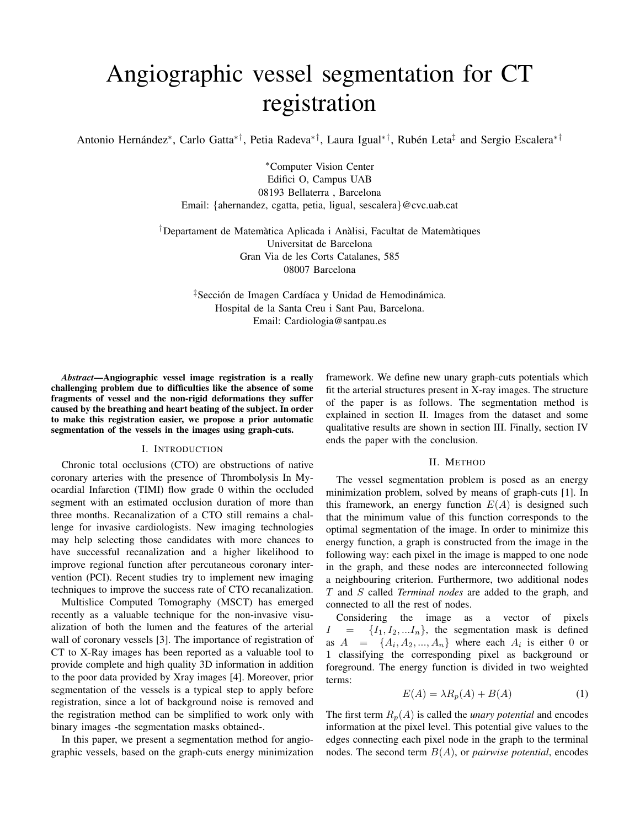# Angiographic vessel segmentation for CT registration

Antonio Hernández\*, Carlo Gatta\*<sup>†</sup>, Petia Radeva\*<sup>†</sup>, Laura Igual\*<sup>†</sup>, Rubén Leta<sup>‡</sup> and Sergio Escalera\*<sup>†</sup>

<sup>∗</sup>Computer Vision Center Edifici O, Campus UAB 08193 Bellaterra , Barcelona Email: {ahernandez, cgatta, petia, ligual, sescalera}@cvc.uab.cat

<sup>†</sup>Departament de Matemàtica Aplicada i Anàlisi, Facultat de Matemàtiques Universitat de Barcelona Gran Via de les Corts Catalanes, 585 08007 Barcelona

> ‡Sección de Imagen Cardíaca y Unidad de Hemodinámica. Hospital de la Santa Creu i Sant Pau, Barcelona. Email: Cardiologia@santpau.es

*Abstract*—Angiographic vessel image registration is a really challenging problem due to difficulties like the absence of some fragments of vessel and the non-rigid deformations they suffer caused by the breathing and heart beating of the subject. In order to make this registration easier, we propose a prior automatic segmentation of the vessels in the images using graph-cuts.

# I. INTRODUCTION

Chronic total occlusions (CTO) are obstructions of native coronary arteries with the presence of Thrombolysis In Myocardial Infarction (TIMI) flow grade 0 within the occluded segment with an estimated occlusion duration of more than three months. Recanalization of a CTO still remains a challenge for invasive cardiologists. New imaging technologies may help selecting those candidates with more chances to have successful recanalization and a higher likelihood to improve regional function after percutaneous coronary intervention (PCI). Recent studies try to implement new imaging techniques to improve the success rate of CTO recanalization.

Multislice Computed Tomography (MSCT) has emerged recently as a valuable technique for the non-invasive visualization of both the lumen and the features of the arterial wall of coronary vessels [3]. The importance of registration of CT to X-Ray images has been reported as a valuable tool to provide complete and high quality 3D information in addition to the poor data provided by Xray images [4]. Moreover, prior segmentation of the vessels is a typical step to apply before registration, since a lot of background noise is removed and the registration method can be simplified to work only with binary images -the segmentation masks obtained-.

In this paper, we present a segmentation method for angiographic vessels, based on the graph-cuts energy minimization framework. We define new unary graph-cuts potentials which fit the arterial structures present in X-ray images. The structure of the paper is as follows. The segmentation method is explained in section II. Images from the dataset and some qualitative results are shown in section III. Finally, section IV ends the paper with the conclusion.

#### II. METHOD

The vessel segmentation problem is posed as an energy minimization problem, solved by means of graph-cuts [1]. In this framework, an energy function  $E(A)$  is designed such that the minimum value of this function corresponds to the optimal segmentation of the image. In order to minimize this energy function, a graph is constructed from the image in the following way: each pixel in the image is mapped to one node in the graph, and these nodes are interconnected following a neighbouring criterion. Furthermore, two additional nodes T and S called *Terminal nodes* are added to the graph, and connected to all the rest of nodes.

Considering the image as a vector of pixels  $I = \{I_1, I_2, ... I_n\}$ , the segmentation mask is defined as  $A = \{A_i, A_2, ..., A_n\}$  where each  $A_i$  is either 0 or 1 classifying the corresponding pixel as background or foreground. The energy function is divided in two weighted terms:

$$
E(A) = \lambda R_p(A) + B(A)
$$
 (1)

The first term  $R_p(A)$  is called the *unary potential* and encodes information at the pixel level. This potential give values to the edges connecting each pixel node in the graph to the terminal nodes. The second term B(A), or *pairwise potential*, encodes